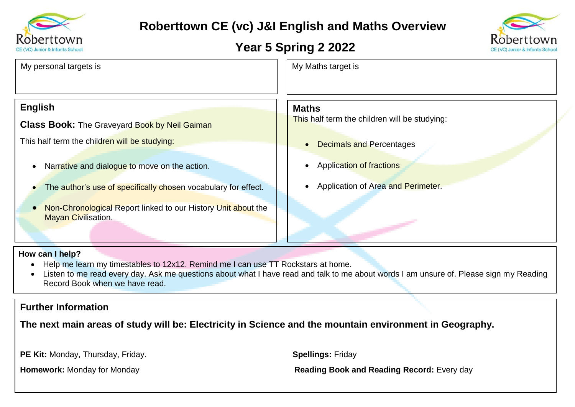

## **Roberttown CE (vc) J&I English and Maths Overview**

### **Year 5 Spring 2 2022**



| My personal targets is                                         | My Maths target is                              |
|----------------------------------------------------------------|-------------------------------------------------|
| <b>English</b>                                                 | <b>Maths</b>                                    |
| <b>Class Book:</b> The Graveyard Book by Neil Gaiman           | This half term the children will be studying:   |
| This half term the children will be studying:                  | <b>Decimals and Percentages</b><br>$\bullet$    |
| Narrative and dialogue to move on the action.                  | <b>Application of fractions</b><br>$\bullet$    |
| The author's use of specifically chosen vocabulary for effect. | Application of Area and Perimeter.<br>$\bullet$ |

• Non-Chronological Report linked to our History Unit about the **Mayan Civilisation.** 

#### **How can I help?**

- Help me learn my timestables to 12x12. Remind me I can use TT Rockstars at home.
- Listen to me read every day. Ask me questions about what I have read and talk to me about words I am unsure of. Please sign my Reading Record Book when we have read.

### **Further Information**

**The next main areas of study will be: Electricity in Science and the mountain environment in Geography.**

**PE Kit:** Monday, Thursday, Friday. **Spellings:** Friday

**Homework:** Monday for Monday **Reading Book and Reading Record:** Every day